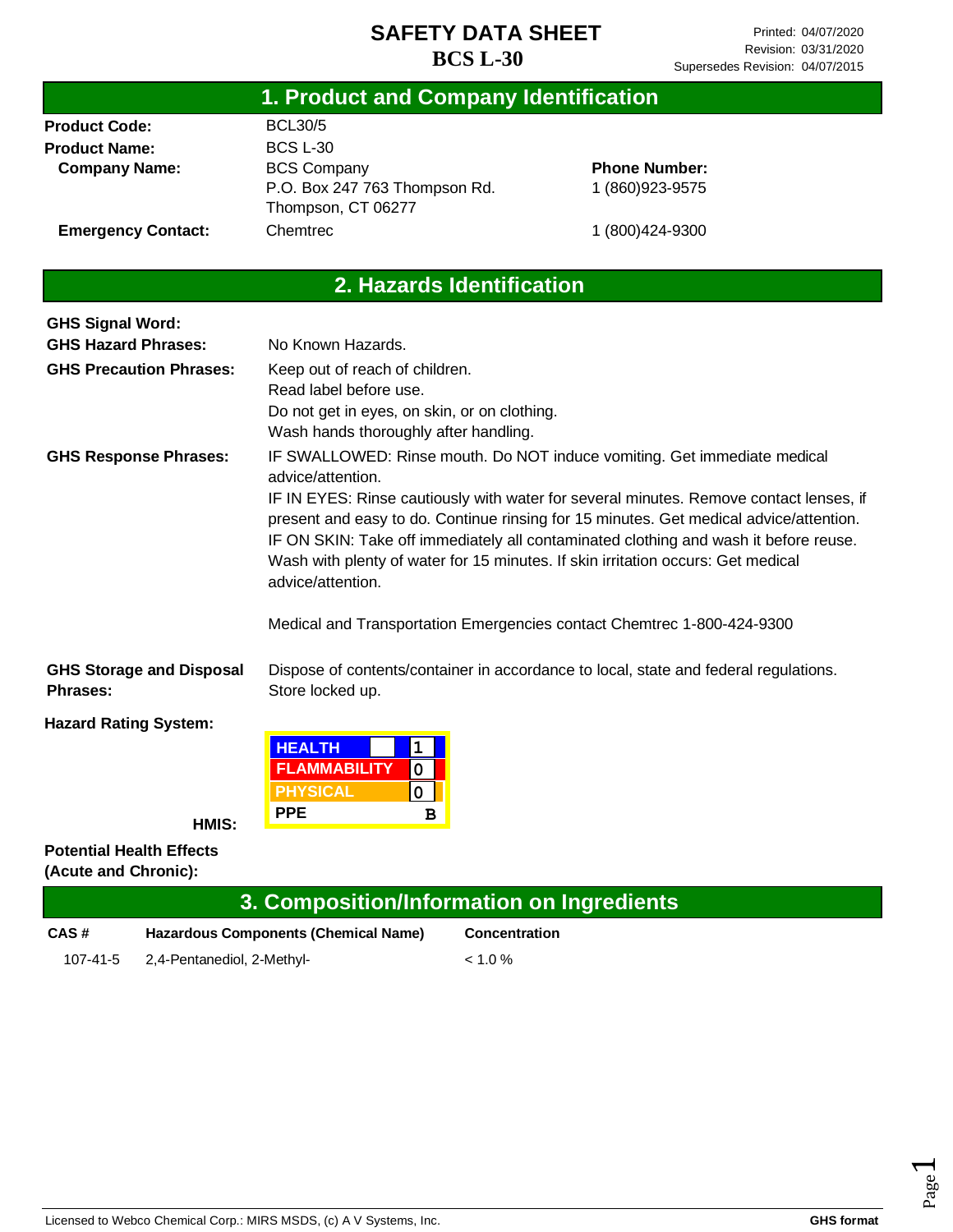#### **Product Code: Product Name: Company Name: Emergency Contact:** BCL30/5 BCS L-30 BCS Company P.O. Box 247 763 Thompson Rd. Thompson, CT 06277 Chemtrec **Phone Number:** 1 (860)923-9575 1 (800)424-9300 **GHS Signal Word: GHS Hazard Phrases: GHS Precaution Phrases: GHS Response Phrases:** No Known Hazards. Keep out of reach of children. Read label before use. Do not get in eyes, on skin, or on clothing. Wash hands thoroughly after handling. IF SWALLOWED: Rinse mouth. Do NOT induce vomiting. Get immediate medical advice/attention. IF IN EYES: Rinse cautiously with water for several minutes. Remove contact lenses, if present and easy to do. Continue rinsing for 15 minutes. Get medical advice/attention. IF ON SKIN: Take off immediately all contaminated clothing and wash it before reuse. Wash with plenty of water for 15 minutes. If skin irritation occurs: Get medical advice/attention. Medical and Transportation Emergencies contact Chemtrec 1-800-424-9300 **GHS Storage and Disposal Phrases:** Dispose of contents/container in accordance to local, state and federal regulations. **1. Product and Company Identification 2. Hazards Identification**

Store locked up.

**Hazard Rating System:**

| <b>HEALTH</b>   |   |  |
|-----------------|---|--|
| FLAMMABILITY    |   |  |
| <b>PHYSICAL</b> |   |  |
| <b>PPE</b>      | R |  |

#### **Potential Health Effects (Acute and Chronic):**

**HMIS:**

#### **3. Composition/Information on Ingredients**

| CAS#     | <b>Hazardous Components (Chemical Name)</b> | <b>Concentration</b> |  |
|----------|---------------------------------------------|----------------------|--|
| 107-41-5 | 2,4-Pentanediol, 2-Methyl-                  | $< 1.0 \%$           |  |

Page  $\overline{\phantom{0}}$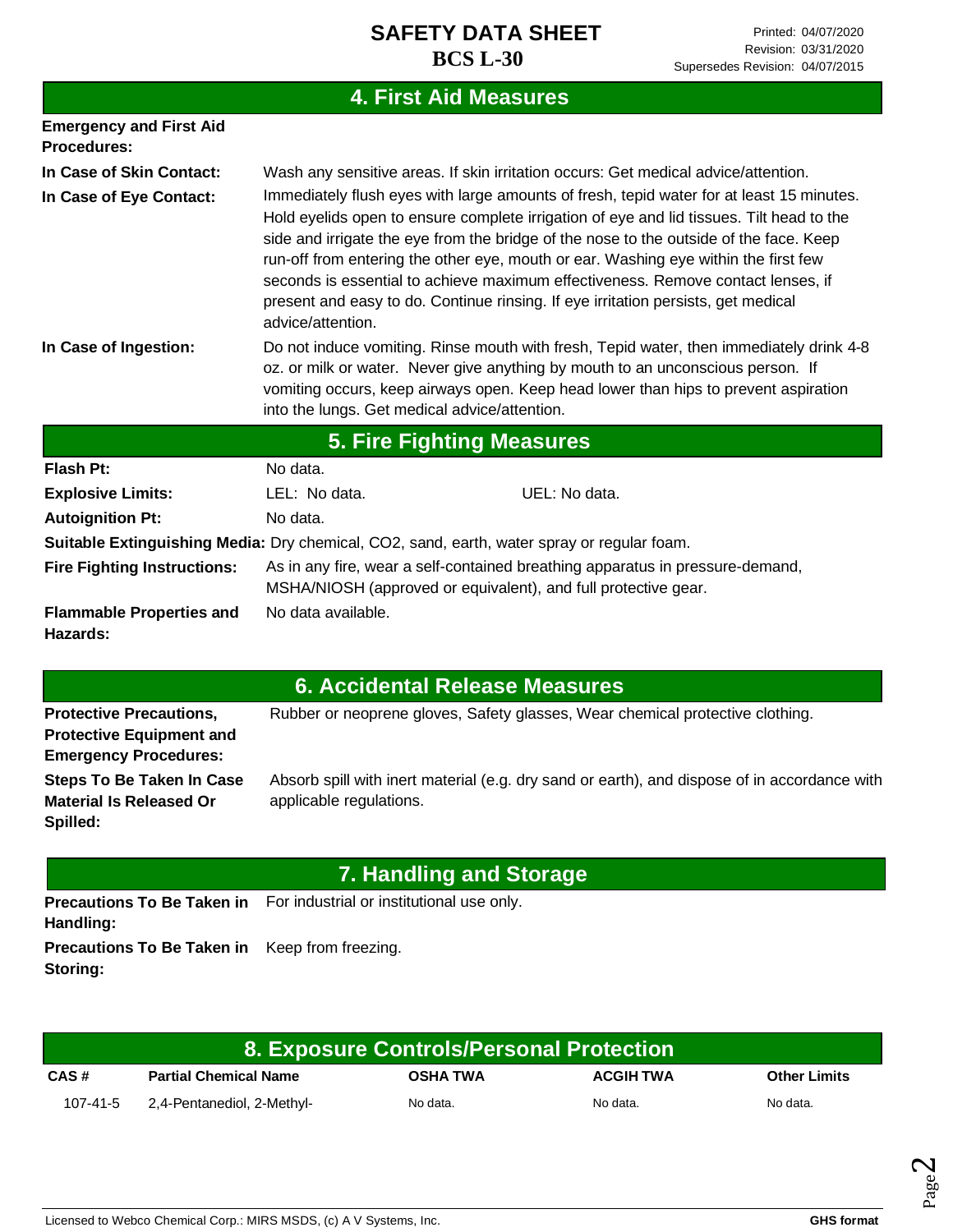# **4. First Aid Measures**

| <b>Emergency and First Aid</b><br><b>Procedures:</b>                                       |                                                                                                                                                                                                                                                                                                                                                                                                                                                                                                                                                                     |  |  |  |  |
|--------------------------------------------------------------------------------------------|---------------------------------------------------------------------------------------------------------------------------------------------------------------------------------------------------------------------------------------------------------------------------------------------------------------------------------------------------------------------------------------------------------------------------------------------------------------------------------------------------------------------------------------------------------------------|--|--|--|--|
| In Case of Skin Contact:                                                                   | Wash any sensitive areas. If skin irritation occurs: Get medical advice/attention.                                                                                                                                                                                                                                                                                                                                                                                                                                                                                  |  |  |  |  |
| In Case of Eye Contact:                                                                    | Immediately flush eyes with large amounts of fresh, tepid water for at least 15 minutes.<br>Hold eyelids open to ensure complete irrigation of eye and lid tissues. Tilt head to the<br>side and irrigate the eye from the bridge of the nose to the outside of the face. Keep<br>run-off from entering the other eye, mouth or ear. Washing eye within the first few<br>seconds is essential to achieve maximum effectiveness. Remove contact lenses, if<br>present and easy to do. Continue rinsing. If eye irritation persists, get medical<br>advice/attention. |  |  |  |  |
| In Case of Ingestion:                                                                      | Do not induce vomiting. Rinse mouth with fresh, Tepid water, then immediately drink 4-8<br>oz. or milk or water. Never give anything by mouth to an unconscious person. If<br>vomiting occurs, keep airways open. Keep head lower than hips to prevent aspiration<br>into the lungs. Get medical advice/attention.                                                                                                                                                                                                                                                  |  |  |  |  |
|                                                                                            | <b>5. Fire Fighting Measures</b>                                                                                                                                                                                                                                                                                                                                                                                                                                                                                                                                    |  |  |  |  |
| Flash Pt:                                                                                  | No data.                                                                                                                                                                                                                                                                                                                                                                                                                                                                                                                                                            |  |  |  |  |
| <b>Explosive Limits:</b>                                                                   | UEL: No data.<br>LEL: No data.                                                                                                                                                                                                                                                                                                                                                                                                                                                                                                                                      |  |  |  |  |
| <b>Autoignition Pt:</b>                                                                    | No data.                                                                                                                                                                                                                                                                                                                                                                                                                                                                                                                                                            |  |  |  |  |
| Suitable Extinguishing Media: Dry chemical, CO2, sand, earth, water spray or regular foam. |                                                                                                                                                                                                                                                                                                                                                                                                                                                                                                                                                                     |  |  |  |  |
| <b>Fire Fighting Instructions:</b>                                                         | As in any fire, wear a self-contained breathing apparatus in pressure-demand,<br>MSHA/NIOSH (approved or equivalent), and full protective gear.                                                                                                                                                                                                                                                                                                                                                                                                                     |  |  |  |  |
| <b>Flammable Properties and</b><br>Hazards:                                                | No data available.                                                                                                                                                                                                                                                                                                                                                                                                                                                                                                                                                  |  |  |  |  |

| 6. Accidental Release Measures |  |
|--------------------------------|--|
|--------------------------------|--|

| <b>Protective Precautions,</b>  | Rubber or neoprene gloves, Safety glasses, Wear chemical protective clothing.                |
|---------------------------------|----------------------------------------------------------------------------------------------|
| <b>Protective Equipment and</b> |                                                                                              |
| <b>Emergency Procedures:</b>    |                                                                                              |
| Steps To Be Taken In Case       | Absorb spill with inert material (e.g. dry sand or earth), and dispose of in accordance with |
| <b>Material Is Released Or</b>  | applicable regulations.                                                                      |
| Spilled:                        |                                                                                              |
|                                 |                                                                                              |

| 7. Handling and Storage                                           |                                                                             |  |  |
|-------------------------------------------------------------------|-----------------------------------------------------------------------------|--|--|
| Handling:                                                         | <b>Precautions To Be Taken in</b> For industrial or institutional use only. |  |  |
| <b>Precautions To Be Taken in</b> Keep from freezing.<br>Storing: |                                                                             |  |  |

| 8. Exposure Controls/Personal Protection \ |                              |                 |                  |                     |
|--------------------------------------------|------------------------------|-----------------|------------------|---------------------|
| CAS#                                       | <b>Partial Chemical Name</b> | <b>OSHA TWA</b> | <b>ACGIH TWA</b> | <b>Other Limits</b> |
| 107-41-5                                   | 2,4-Pentanediol, 2-Methyl-   | No data.        | No data.         | No data.            |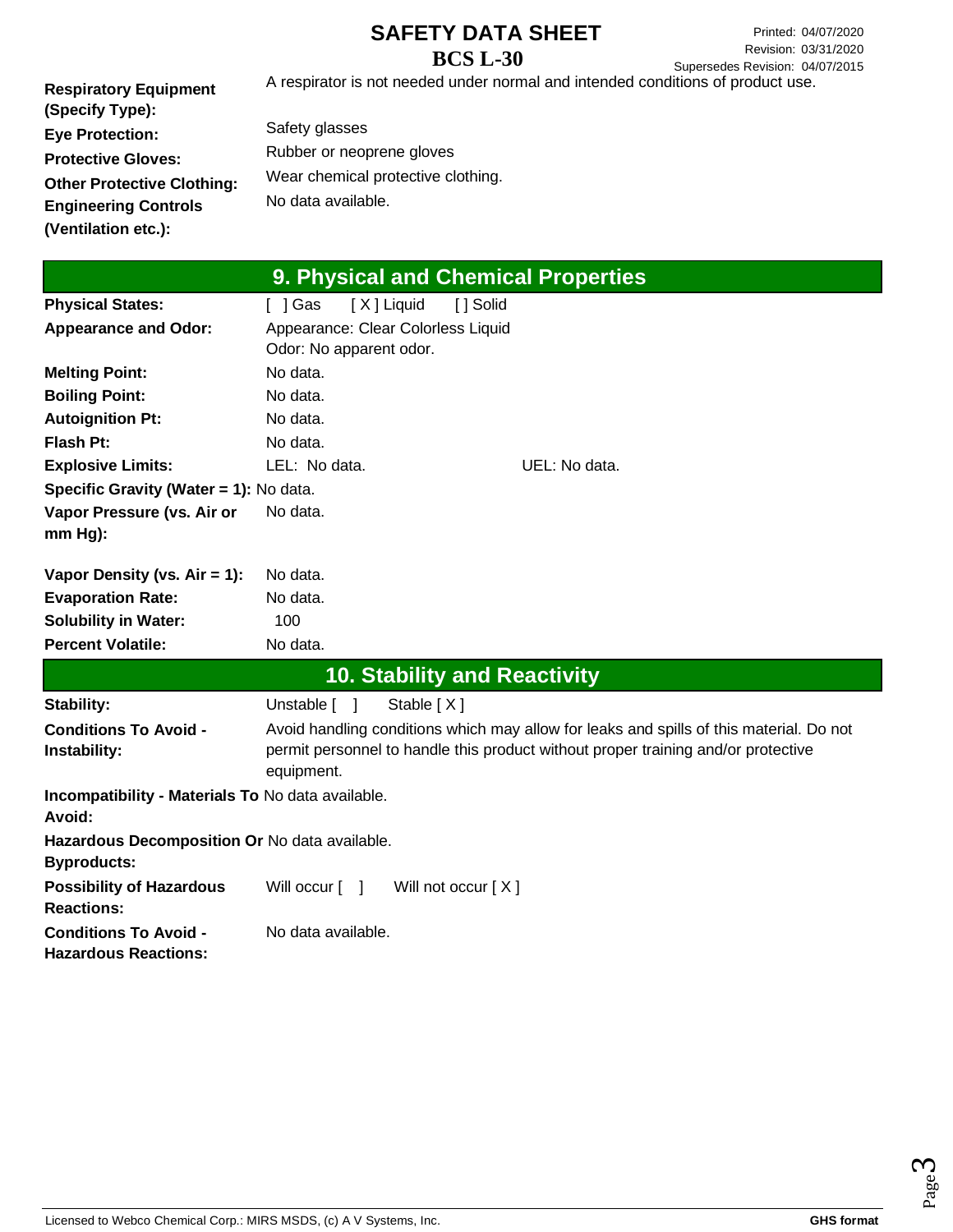**Respiratory Equipment (Specify Type): Eye Protection: Protective Gloves: Other Protective Clothing: Engineering Controls (Ventilation etc.):** A respirator is not needed under normal and intended conditions of product use. Safety glasses

Rubber or neoprene gloves Wear chemical protective clothing. No data available.

| 9. Physical and Chemical Properties                         |                                                                                         |  |  |  |
|-------------------------------------------------------------|-----------------------------------------------------------------------------------------|--|--|--|
| <b>Physical States:</b>                                     | [X] Liquid<br>[ ] Solid<br>$\lceil$   Gas                                               |  |  |  |
| <b>Appearance and Odor:</b>                                 | Appearance: Clear Colorless Liquid                                                      |  |  |  |
|                                                             | Odor: No apparent odor.                                                                 |  |  |  |
| <b>Melting Point:</b>                                       | No data.                                                                                |  |  |  |
| <b>Boiling Point:</b>                                       | No data.                                                                                |  |  |  |
| <b>Autoignition Pt:</b>                                     | No data.                                                                                |  |  |  |
| <b>Flash Pt:</b>                                            | No data.                                                                                |  |  |  |
| <b>Explosive Limits:</b>                                    | LEL: No data.<br>UEL: No data.                                                          |  |  |  |
| Specific Gravity (Water = 1): No data.                      |                                                                                         |  |  |  |
| Vapor Pressure (vs. Air or                                  | No data.                                                                                |  |  |  |
| $mm Hg$ ):                                                  |                                                                                         |  |  |  |
| Vapor Density (vs. $Air = 1$ ):                             | No data.                                                                                |  |  |  |
| <b>Evaporation Rate:</b>                                    | No data.                                                                                |  |  |  |
| <b>Solubility in Water:</b>                                 | 100                                                                                     |  |  |  |
| <b>Percent Volatile:</b>                                    | No data.                                                                                |  |  |  |
|                                                             | <b>10. Stability and Reactivity</b>                                                     |  |  |  |
| Stability:                                                  | Unstable [ ]<br>Stable $[X]$                                                            |  |  |  |
| <b>Conditions To Avoid -</b>                                | Avoid handling conditions which may allow for leaks and spills of this material. Do not |  |  |  |
| Instability:                                                | permit personnel to handle this product without proper training and/or protective       |  |  |  |
|                                                             | equipment.                                                                              |  |  |  |
| Incompatibility - Materials To No data available.<br>Avoid: |                                                                                         |  |  |  |
| Hazardous Decomposition Or No data available.               |                                                                                         |  |  |  |
| <b>Byproducts:</b>                                          |                                                                                         |  |  |  |
| <b>Possibility of Hazardous</b><br><b>Reactions:</b>        | Will not occur $[X]$<br>Will occur $\lceil \quad \rceil$                                |  |  |  |
| <b>Conditions To Avoid -</b><br><b>Hazardous Reactions:</b> | No data available.                                                                      |  |  |  |